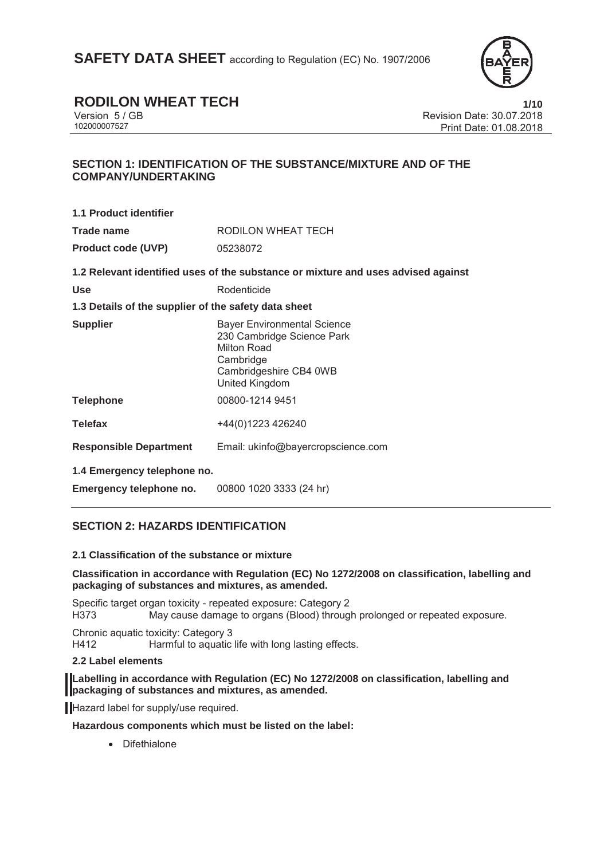

## **RODILON WHEAT TECH** 1/10

Version 5 / GB Revision Date: 30.07.2018 Print Date: 01.08.2018

### **SECTION 1: IDENTIFICATION OF THE SUBSTANCE/MIXTURE AND OF THE COMPANY/UNDERTAKING**

| 1.1 Product identifier                               |                                                                                                                                                 |  |
|------------------------------------------------------|-------------------------------------------------------------------------------------------------------------------------------------------------|--|
| Trade name                                           | RODILON WHEAT TECH                                                                                                                              |  |
| <b>Product code (UVP)</b>                            | 05238072                                                                                                                                        |  |
|                                                      | 1.2 Relevant identified uses of the substance or mixture and uses advised against                                                               |  |
| <b>Use</b>                                           | Rodenticide                                                                                                                                     |  |
| 1.3 Details of the supplier of the safety data sheet |                                                                                                                                                 |  |
| <b>Supplier</b>                                      | <b>Bayer Environmental Science</b><br>230 Cambridge Science Park<br>Milton Road<br>Cambridge<br>Cambridgeshire CB4 0WB<br><b>United Kingdom</b> |  |
| <b>Telephone</b>                                     | 00800-1214 9451                                                                                                                                 |  |
| <b>Telefax</b>                                       | +44(0)1223 426240                                                                                                                               |  |

**Responsible Department** Email: ukinfo@bayercropscience.com

**1.4 Emergency telephone no.** 

**Emergency telephone no.** 00800 1020 3333 (24 hr)

### **SECTION 2: HAZARDS IDENTIFICATION**

### **2.1 Classification of the substance or mixture**

### **Classification in accordance with Regulation (EC) No 1272/2008 on classification, labelling and packaging of substances and mixtures, as amended.**

Specific target organ toxicity - repeated exposure: Category 2 H373 May cause damage to organs (Blood) through prolonged or repeated exposure.

Chronic aquatic toxicity: Category 3 H412 Harmful to aquatic life with long lasting effects.

### **2.2 Label elements**

**Labelling in accordance with Regulation (EC) No 1272/2008 on classification, labelling and packaging of substances and mixtures, as amended.** 

Hazard label for supply/use required.

**Hazardous components which must be listed on the label:** 

• Difethialone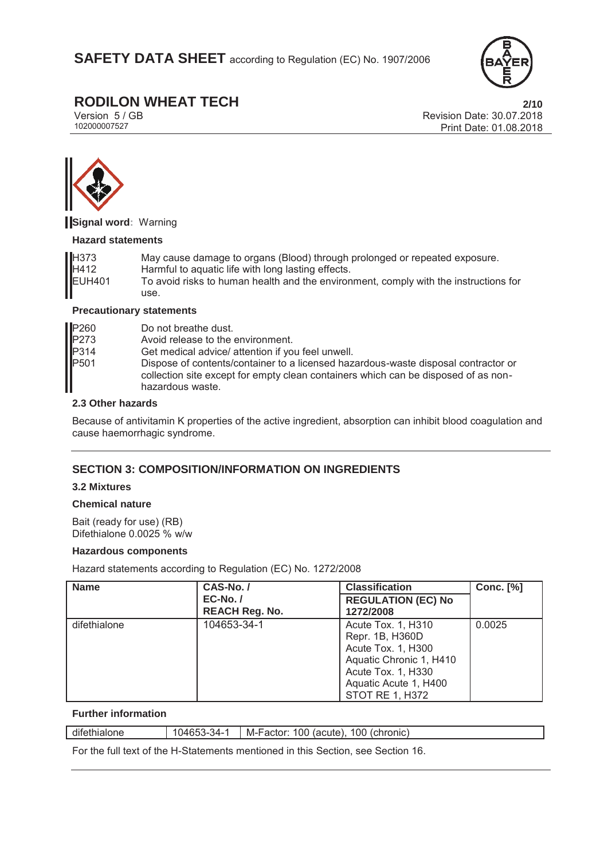

# **RODILON WHEAT TECH**<br>Version 5 / GB **2/10**<br>Revision Date: 30.07.2018

Version 5 / GB<br>
102000007527<br>
Print Date: 01.08.2018 Print Date: 01.08.2018



**Signal word:** Warning

### **Hazard statements**

| H373               | May cause damage to organs (Blood) through prolonged or repeated exposure.           |
|--------------------|--------------------------------------------------------------------------------------|
| H412               | Harmful to aquatic life with long lasting effects.                                   |
| EUH <sub>401</sub> | To avoid risks to human health and the environment, comply with the instructions for |
|                    | use.                                                                                 |

### **Precautionary statements**

| P <sub>260</sub> | Do not breathe dust.                                                                                                                                                                         |
|------------------|----------------------------------------------------------------------------------------------------------------------------------------------------------------------------------------------|
| P273             | Avoid release to the environment.                                                                                                                                                            |
| P314             | Get medical advice/ attention if you feel unwell.                                                                                                                                            |
| P <sub>501</sub> | Dispose of contents/container to a licensed hazardous-waste disposal contractor or<br>collection site except for empty clean containers which can be disposed of as non-<br>hazardous waste. |

### **2.3 Other hazards**

Because of antivitamin K properties of the active ingredient, absorption can inhibit blood coagulation and cause haemorrhagic syndrome.

### **SECTION 3: COMPOSITION/INFORMATION ON INGREDIENTS**

### **3.2 Mixtures**

### **Chemical nature**

Bait (ready for use) (RB) Difethialone 0.0025 % w/w

### **Hazardous components**

Hazard statements according to Regulation (EC) No. 1272/2008

| <b>Name</b>  | CAS-No./                            | <b>Classification</b>                                                                                                                                           | <b>Conc.</b> [%] |
|--------------|-------------------------------------|-----------------------------------------------------------------------------------------------------------------------------------------------------------------|------------------|
|              | $EC-No. /$<br><b>REACH Reg. No.</b> | <b>REGULATION (EC) No</b><br>1272/2008                                                                                                                          |                  |
| difethialone | 104653-34-1                         | Acute Tox. 1, H310<br>Repr. 1B, H360D<br>Acute Tox. 1, H300<br>Aquatic Chronic 1, H410<br>Acute Tox. 1, H330<br>Aquatic Acute 1, H400<br><b>STOT RE 1, H372</b> | 0.0025           |

### **Further information**

difethialone 104653-34-1 M-Factor: 100 (acute), 100 (chronic)

For the full text of the H-Statements mentioned in this Section, see Section 16.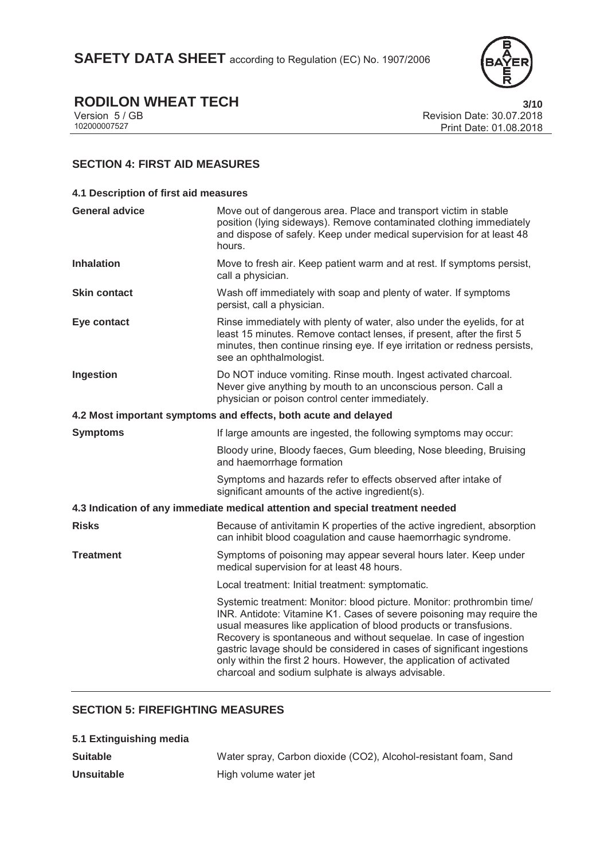

# **RODILON WHEAT TECH** 3/10<br>Version 5/GB Revision Date: 30.07.2018

Version 5 / GB Revision Date: 30.07.2018 Print Date: 01.08.2018

### **SECTION 4: FIRST AID MEASURES**

| 4.1 Description of first aid measures                                          |                                                                                                                                                                                                                                                                                                                                                                                                                                                                                                    |  |
|--------------------------------------------------------------------------------|----------------------------------------------------------------------------------------------------------------------------------------------------------------------------------------------------------------------------------------------------------------------------------------------------------------------------------------------------------------------------------------------------------------------------------------------------------------------------------------------------|--|
| <b>General advice</b>                                                          | Move out of dangerous area. Place and transport victim in stable<br>position (lying sideways). Remove contaminated clothing immediately<br>and dispose of safely. Keep under medical supervision for at least 48<br>hours.                                                                                                                                                                                                                                                                         |  |
| <b>Inhalation</b>                                                              | Move to fresh air. Keep patient warm and at rest. If symptoms persist,<br>call a physician.                                                                                                                                                                                                                                                                                                                                                                                                        |  |
| <b>Skin contact</b>                                                            | Wash off immediately with soap and plenty of water. If symptoms<br>persist, call a physician.                                                                                                                                                                                                                                                                                                                                                                                                      |  |
| Eye contact                                                                    | Rinse immediately with plenty of water, also under the eyelids, for at<br>least 15 minutes. Remove contact lenses, if present, after the first 5<br>minutes, then continue rinsing eye. If eye irritation or redness persists,<br>see an ophthalmologist.                                                                                                                                                                                                                                          |  |
| Ingestion                                                                      | Do NOT induce vomiting. Rinse mouth. Ingest activated charcoal.<br>Never give anything by mouth to an unconscious person. Call a<br>physician or poison control center immediately.                                                                                                                                                                                                                                                                                                                |  |
| 4.2 Most important symptoms and effects, both acute and delayed                |                                                                                                                                                                                                                                                                                                                                                                                                                                                                                                    |  |
| <b>Symptoms</b>                                                                | If large amounts are ingested, the following symptoms may occur:                                                                                                                                                                                                                                                                                                                                                                                                                                   |  |
|                                                                                | Bloody urine, Bloody faeces, Gum bleeding, Nose bleeding, Bruising<br>and haemorrhage formation                                                                                                                                                                                                                                                                                                                                                                                                    |  |
|                                                                                | Symptoms and hazards refer to effects observed after intake of<br>significant amounts of the active ingredient(s).                                                                                                                                                                                                                                                                                                                                                                                 |  |
| 4.3 Indication of any immediate medical attention and special treatment needed |                                                                                                                                                                                                                                                                                                                                                                                                                                                                                                    |  |
| <b>Risks</b>                                                                   | Because of antivitamin K properties of the active ingredient, absorption<br>can inhibit blood coagulation and cause haemorrhagic syndrome.                                                                                                                                                                                                                                                                                                                                                         |  |
| Treatment                                                                      | Symptoms of poisoning may appear several hours later. Keep under<br>medical supervision for at least 48 hours.                                                                                                                                                                                                                                                                                                                                                                                     |  |
|                                                                                | Local treatment: Initial treatment: symptomatic.                                                                                                                                                                                                                                                                                                                                                                                                                                                   |  |
|                                                                                | Systemic treatment: Monitor: blood picture. Monitor: prothrombin time/<br>INR. Antidote: Vitamine K1. Cases of severe poisoning may require the<br>usual measures like application of blood products or transfusions.<br>Recovery is spontaneous and without sequelae. In case of ingestion<br>gastric lavage should be considered in cases of significant ingestions<br>only within the first 2 hours. However, the application of activated<br>charcoal and sodium sulphate is always advisable. |  |
|                                                                                |                                                                                                                                                                                                                                                                                                                                                                                                                                                                                                    |  |

### **SECTION 5: FIREFIGHTING MEASURES**

| 5.1 Extinguishing media |                                                                 |
|-------------------------|-----------------------------------------------------------------|
| Suitable                | Water spray, Carbon dioxide (CO2), Alcohol-resistant foam, Sand |
| Unsuitable              | High volume water jet                                           |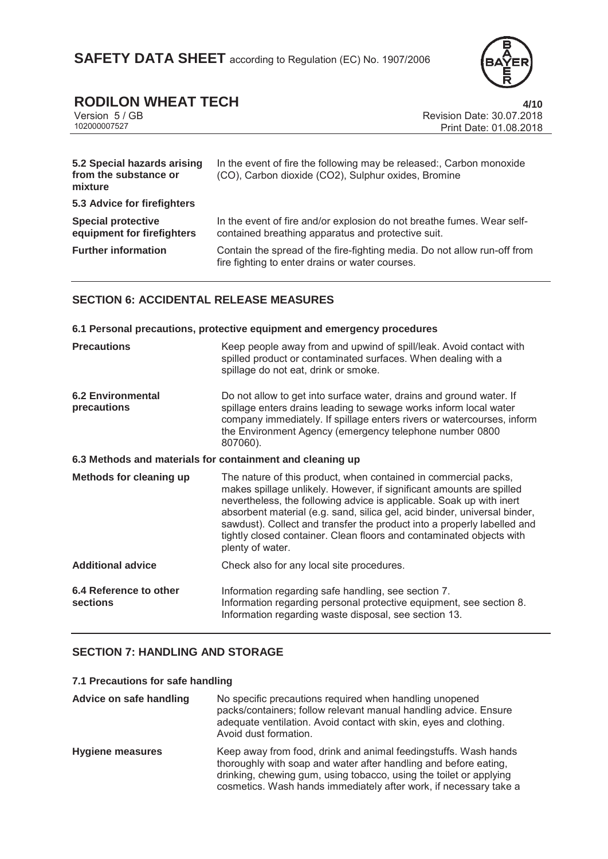

# **RODILON WHEAT TECH** 4/10<br>Version 5/GB Revision Date: 30.07.2018

Version 5 / GB<br>102000007527<br>Print Date: 01.08.2018 Print Date: 01.08.2018

| 5.2 Special hazards arising<br>from the substance or<br>mixture | In the event of fire the following may be released:, Carbon monoxide<br>(CO), Carbon dioxide (CO2), Sulphur oxides, Bromine  |
|-----------------------------------------------------------------|------------------------------------------------------------------------------------------------------------------------------|
| 5.3 Advice for firefighters                                     |                                                                                                                              |
| <b>Special protective</b><br>equipment for firefighters         | In the event of fire and/or explosion do not breathe fumes. Wear self-<br>contained breathing apparatus and protective suit. |
| <b>Further information</b>                                      | Contain the spread of the fire-fighting media. Do not allow run-off from<br>fire fighting to enter drains or water courses.  |

## **SECTION 6: ACCIDENTAL RELEASE MEASURES**

| SECTION 6: ACCIDENTAL RELEASE MEASURES  |                                                                                                                                                                                                                                                                                                                                                                                                                                                                     |  |
|-----------------------------------------|---------------------------------------------------------------------------------------------------------------------------------------------------------------------------------------------------------------------------------------------------------------------------------------------------------------------------------------------------------------------------------------------------------------------------------------------------------------------|--|
|                                         | 6.1 Personal precautions, protective equipment and emergency procedures                                                                                                                                                                                                                                                                                                                                                                                             |  |
| <b>Precautions</b>                      | Keep people away from and upwind of spill/leak. Avoid contact with<br>spilled product or contaminated surfaces. When dealing with a<br>spillage do not eat, drink or smoke.                                                                                                                                                                                                                                                                                         |  |
| <b>6.2 Environmental</b><br>precautions | Do not allow to get into surface water, drains and ground water. If<br>spillage enters drains leading to sewage works inform local water<br>company immediately. If spillage enters rivers or watercourses, inform<br>the Environment Agency (emergency telephone number 0800<br>807060).                                                                                                                                                                           |  |
|                                         | 6.3 Methods and materials for containment and cleaning up                                                                                                                                                                                                                                                                                                                                                                                                           |  |
| Methods for cleaning up                 | The nature of this product, when contained in commercial packs,<br>makes spillage unlikely. However, if significant amounts are spilled<br>nevertheless, the following advice is applicable. Soak up with inert<br>absorbent material (e.g. sand, silica gel, acid binder, universal binder,<br>sawdust). Collect and transfer the product into a properly labelled and<br>tightly closed container. Clean floors and contaminated objects with<br>plenty of water. |  |
| <b>Additional advice</b>                | Check also for any local site procedures.                                                                                                                                                                                                                                                                                                                                                                                                                           |  |
| 6.4 Reference to other<br>sections      | Information regarding safe handling, see section 7.<br>Information regarding personal protective equipment, see section 8.<br>Information regarding waste disposal, see section 13.                                                                                                                                                                                                                                                                                 |  |

### **SECTION 7: HANDLING AND STORAGE**

### **7.1 Precautions for safe handling**

| Advice on safe handling | No specific precautions required when handling unopened<br>packs/containers; follow relevant manual handling advice. Ensure<br>adequate ventilation. Avoid contact with skin, eyes and clothing.<br>Avoid dust formation.                                                      |
|-------------------------|--------------------------------------------------------------------------------------------------------------------------------------------------------------------------------------------------------------------------------------------------------------------------------|
| <b>Hygiene measures</b> | Keep away from food, drink and animal feedingstuffs. Wash hands<br>thoroughly with soap and water after handling and before eating,<br>drinking, chewing gum, using tobacco, using the toilet or applying<br>cosmetics. Wash hands immediately after work, if necessary take a |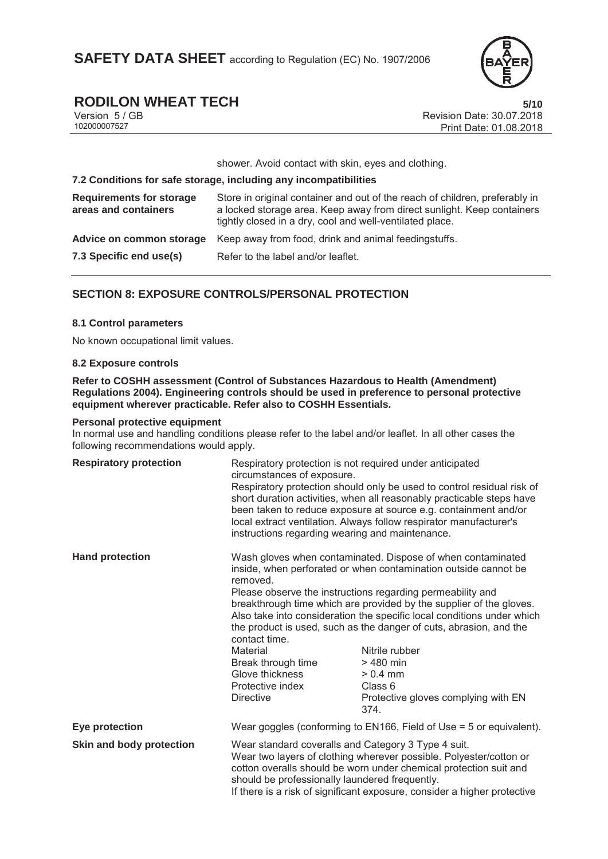

## **RODILON WHEAT TECH** 5/10

Version 5 / GB<br>10200007527<br>Print Date: 01.08.2018 Print Date: 01.08.2018

shower. Avoid contact with skin, eyes and clothing.

### **7.2 Conditions for safe storage, including any incompatibilities Requirements for storage areas and containers** Store in original container and out of the reach of children, preferably in a locked storage area. Keep away from direct sunlight. Keep containers tightly closed in a dry, cool and well-ventilated place. **Advice on common storage** Keep away from food, drink and animal feedingstuffs. **7.3 Specific end use(s)** Refer to the label and/or leaflet.

### **SECTION 8: EXPOSURE CONTROLS/PERSONAL PROTECTION**

### **8.1 Control parameters**

No known occupational limit values.

### **8.2 Exposure controls**

**Refer to COSHH assessment (Control of Substances Hazardous to Health (Amendment) Regulations 2004). Engineering controls should be used in preference to personal protective equipment wherever practicable. Refer also to COSHH Essentials.**

### **Personal protective equipment**

In normal use and handling conditions please refer to the label and/or leaflet. In all other cases the following recommendations would apply.

| <b>Respiratory protection</b> | circumstances of exposure.                                                                                                                                                                                                                                                                                                   | Respiratory protection is not required under anticipated<br>Respiratory protection should only be used to control residual risk of<br>short duration activities, when all reasonably practicable steps have<br>been taken to reduce exposure at source e.g. containment and/or<br>local extract ventilation. Always follow respirator manufacturer's<br>instructions regarding wearing and maintenance.                                                                                                                    |  |
|-------------------------------|------------------------------------------------------------------------------------------------------------------------------------------------------------------------------------------------------------------------------------------------------------------------------------------------------------------------------|----------------------------------------------------------------------------------------------------------------------------------------------------------------------------------------------------------------------------------------------------------------------------------------------------------------------------------------------------------------------------------------------------------------------------------------------------------------------------------------------------------------------------|--|
| <b>Hand protection</b>        | removed.<br>contact time.<br>Material<br>Break through time<br>Glove thickness<br>Protective index<br><b>Directive</b>                                                                                                                                                                                                       | Wash gloves when contaminated. Dispose of when contaminated<br>inside, when perforated or when contamination outside cannot be<br>Please observe the instructions regarding permeability and<br>breakthrough time which are provided by the supplier of the gloves.<br>Also take into consideration the specific local conditions under which<br>the product is used, such as the danger of cuts, abrasion, and the<br>Nitrile rubber<br>> 480 min<br>$> 0.4$ mm<br>Class 6<br>Protective gloves complying with EN<br>374. |  |
| Eye protection                |                                                                                                                                                                                                                                                                                                                              | Wear goggles (conforming to EN166, Field of Use = 5 or equivalent).                                                                                                                                                                                                                                                                                                                                                                                                                                                        |  |
| Skin and body protection      | Wear standard coveralls and Category 3 Type 4 suit.<br>Wear two layers of clothing wherever possible. Polyester/cotton or<br>cotton overalls should be worn under chemical protection suit and<br>should be professionally laundered frequently.<br>If there is a risk of significant exposure, consider a higher protective |                                                                                                                                                                                                                                                                                                                                                                                                                                                                                                                            |  |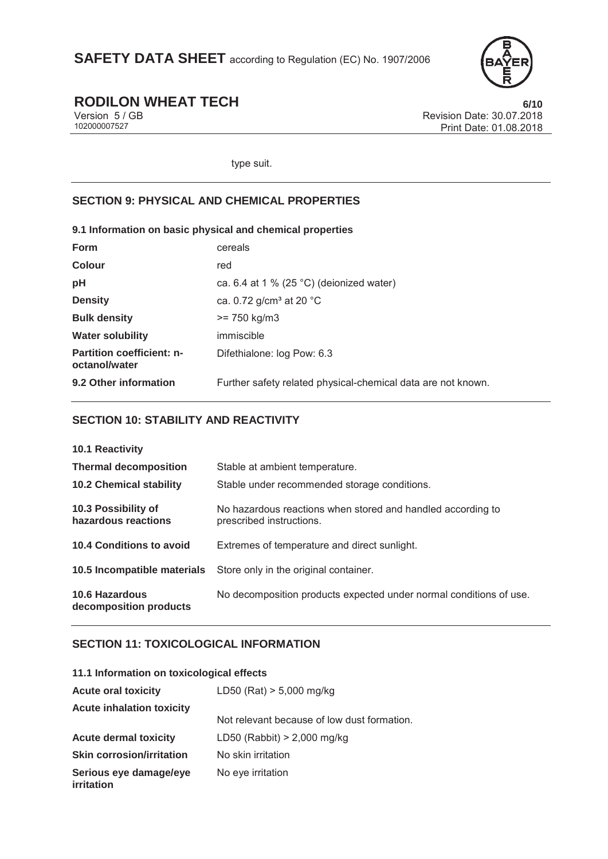

# **RODILON WHEAT TECH** 6/10<br>Version 5/GB<br>Revision Date: 30.07.2018

Version 5 / GB<br>
102000007527<br>
Print Date: 01.08.2018 Print Date: 01.08.2018

type suit.

### **SECTION 9: PHYSICAL AND CHEMICAL PROPERTIES**

### **9.1 Information on basic physical and chemical properties**

| <b>Form</b>                                       | cereals                                                      |
|---------------------------------------------------|--------------------------------------------------------------|
| <b>Colour</b>                                     | red                                                          |
| pH                                                | ca. 6.4 at 1 % (25 °C) (deionized water)                     |
| <b>Density</b>                                    | ca. 0.72 g/cm <sup>3</sup> at 20 $^{\circ}$ C                |
| <b>Bulk density</b>                               | $>= 750 \text{ kg/m}$ 3                                      |
| <b>Water solubility</b>                           | immiscible                                                   |
| <b>Partition coefficient: n-</b><br>octanol/water | Difethialone: log Pow: 6.3                                   |
| 9.2 Other information                             | Further safety related physical-chemical data are not known. |

### **SECTION 10: STABILITY AND REACTIVITY**

| 10.1 Reactivity                                 |                                                                                         |
|-------------------------------------------------|-----------------------------------------------------------------------------------------|
| <b>Thermal decomposition</b>                    | Stable at ambient temperature.                                                          |
| <b>10.2 Chemical stability</b>                  | Stable under recommended storage conditions.                                            |
| 10.3 Possibility of<br>hazardous reactions      | No hazardous reactions when stored and handled according to<br>prescribed instructions. |
| 10.4 Conditions to avoid                        | Extremes of temperature and direct sunlight.                                            |
| 10.5 Incompatible materials                     | Store only in the original container.                                                   |
| <b>10.6 Hazardous</b><br>decomposition products | No decomposition products expected under normal conditions of use.                      |

### **SECTION 11: TOXICOLOGICAL INFORMATION**

| 11.1 Information on toxicological effects   |                                             |
|---------------------------------------------|---------------------------------------------|
| <b>Acute oral toxicity</b>                  | $LD50$ (Rat) $> 5,000$ mg/kg                |
| <b>Acute inhalation toxicity</b>            |                                             |
|                                             | Not relevant because of low dust formation. |
| <b>Acute dermal toxicity</b>                | LD50 (Rabbit) $> 2,000$ mg/kg               |
| <b>Skin corrosion/irritation</b>            | No skin irritation                          |
| Serious eye damage/eye<br><i>irritation</i> | No eye irritation                           |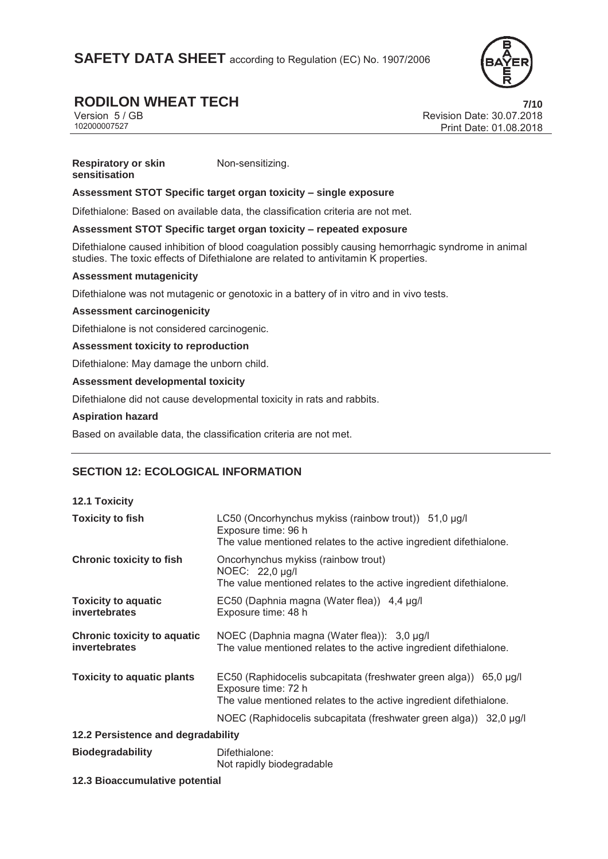**SAFETY DATA SHEET** according to Regulation (EC) No. 1907/2006



# **RODILON WHEAT TECH 7/10**

Version 5 / GB Revision Date: 30.07.2018 Print Date: 01.08.2018

#### **Respiratory or skin sensitisation**  Non-sensitizing.

### **Assessment STOT Specific target organ toxicity – single exposure**

Difethialone: Based on available data, the classification criteria are not met.

### **Assessment STOT Specific target organ toxicity – repeated exposure**

Difethialone caused inhibition of blood coagulation possibly causing hemorrhagic syndrome in animal studies. The toxic effects of Difethialone are related to antivitamin K properties.

### **Assessment mutagenicity**

Difethialone was not mutagenic or genotoxic in a battery of in vitro and in vivo tests.

### **Assessment carcinogenicity**

Difethialone is not considered carcinogenic.

**Assessment toxicity to reproduction** 

Difethialone: May damage the unborn child.

### **Assessment developmental toxicity**

Difethialone did not cause developmental toxicity in rats and rabbits.

### **Aspiration hazard**

Based on available data, the classification criteria are not met.

### **SECTION 12: ECOLOGICAL INFORMATION**

### **12.1 Toxicity**

| <b>Toxicity to fish</b>                             | LC50 (Oncorhynchus mykiss (rainbow trout)) 51,0 µg/l<br>Exposure time: 96 h<br>The value mentioned relates to the active ingredient difethialone.              |  |
|-----------------------------------------------------|----------------------------------------------------------------------------------------------------------------------------------------------------------------|--|
| <b>Chronic toxicity to fish</b>                     | Oncorhynchus mykiss (rainbow trout)<br>NOEC: 22,0 µg/l<br>The value mentioned relates to the active ingredient difethialone.                                   |  |
| <b>Toxicity to aquatic</b><br>invertebrates         | EC50 (Daphnia magna (Water flea)) 4,4 µg/l<br>Exposure time: 48 h                                                                                              |  |
| <b>Chronic toxicity to aquatic</b><br>invertebrates | NOEC (Daphnia magna (Water flea)): 3,0 µg/l<br>The value mentioned relates to the active ingredient difethialone.                                              |  |
| <b>Toxicity to aquatic plants</b>                   | EC50 (Raphidocelis subcapitata (freshwater green alga)) 65,0 µg/l<br>Exposure time: 72 h<br>The value mentioned relates to the active ingredient difethialone. |  |
|                                                     | NOEC (Raphidocelis subcapitata (freshwater green alga)) 32,0 µg/l                                                                                              |  |
| 12.2 Persistence and degradability                  |                                                                                                                                                                |  |
| <b>Biodegradability</b>                             | Difethialone:<br>Not rapidly biodegradable                                                                                                                     |  |

### **12.3 Bioaccumulative potential**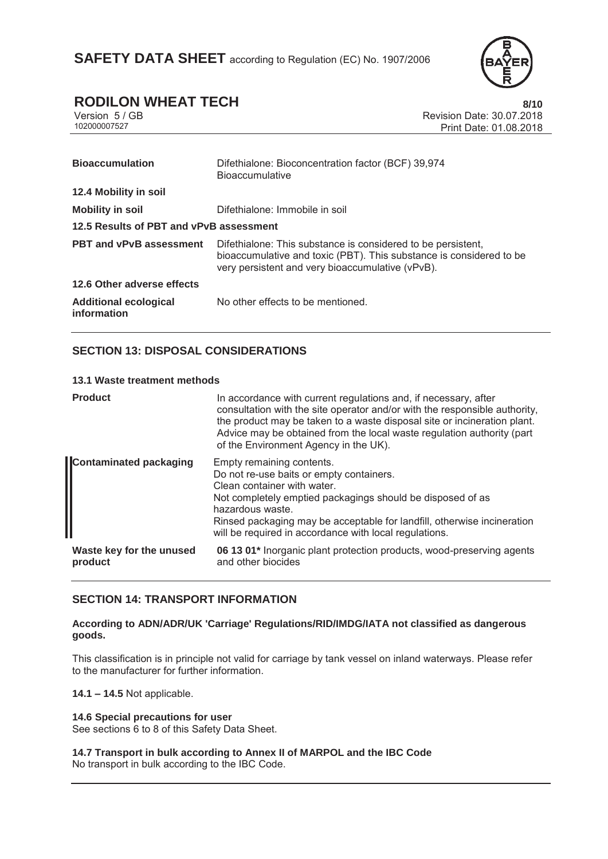

# **RODILON WHEAT TECH** 8/10<br>Version 5/GB Revision Date: 30.07.2018

Version 5 / GB<br>
102000007527<br>
Print Date: 01.08.2018 Print Date: 01.08.2018

| <b>Bioaccumulation</b>                      | Difethialone: Bioconcentration factor (BCF) 39,974<br><b>Bioaccumulative</b>                                                                                                            |  |
|---------------------------------------------|-----------------------------------------------------------------------------------------------------------------------------------------------------------------------------------------|--|
| 12.4 Mobility in soil                       |                                                                                                                                                                                         |  |
| <b>Mobility in soil</b>                     | Difethialone: Immobile in soil                                                                                                                                                          |  |
| 12.5 Results of PBT and vPvB assessment     |                                                                                                                                                                                         |  |
| <b>PBT and vPvB assessment</b>              | Difethialone: This substance is considered to be persistent,<br>bioaccumulative and toxic (PBT). This substance is considered to be<br>very persistent and very bioaccumulative (vPvB). |  |
| 12.6 Other adverse effects                  |                                                                                                                                                                                         |  |
| <b>Additional ecological</b><br>information | No other effects to be mentioned.                                                                                                                                                       |  |

### **SECTION 13: DISPOSAL CONSIDERATIONS**

### **13.1 Waste treatment methods**

| <b>Product</b>                      | In accordance with current regulations and, if necessary, after<br>consultation with the site operator and/or with the responsible authority,<br>the product may be taken to a waste disposal site or incineration plant.<br>Advice may be obtained from the local waste regulation authority (part<br>of the Environment Agency in the UK). |
|-------------------------------------|----------------------------------------------------------------------------------------------------------------------------------------------------------------------------------------------------------------------------------------------------------------------------------------------------------------------------------------------|
| <b>Contaminated packaging</b>       | Empty remaining contents.<br>Do not re-use baits or empty containers.<br>Clean container with water.<br>Not completely emptied packagings should be disposed of as<br>hazardous waste.<br>Rinsed packaging may be acceptable for landfill, otherwise incineration<br>will be required in accordance with local regulations.                  |
| Waste key for the unused<br>product | 06 13 01 <sup>*</sup> Inorganic plant protection products, wood-preserving agents<br>and other biocides                                                                                                                                                                                                                                      |

### **SECTION 14: TRANSPORT INFORMATION**

### **According to ADN/ADR/UK 'Carriage' Regulations/RID/IMDG/IATA not classified as dangerous goods.**

This classification is in principle not valid for carriage by tank vessel on inland waterways. Please refer to the manufacturer for further information.

**14.1 – 14.5** Not applicable.

### **14.6 Special precautions for user**

See sections 6 to 8 of this Safety Data Sheet.

**14.7 Transport in bulk according to Annex II of MARPOL and the IBC Code**  No transport in bulk according to the IBC Code.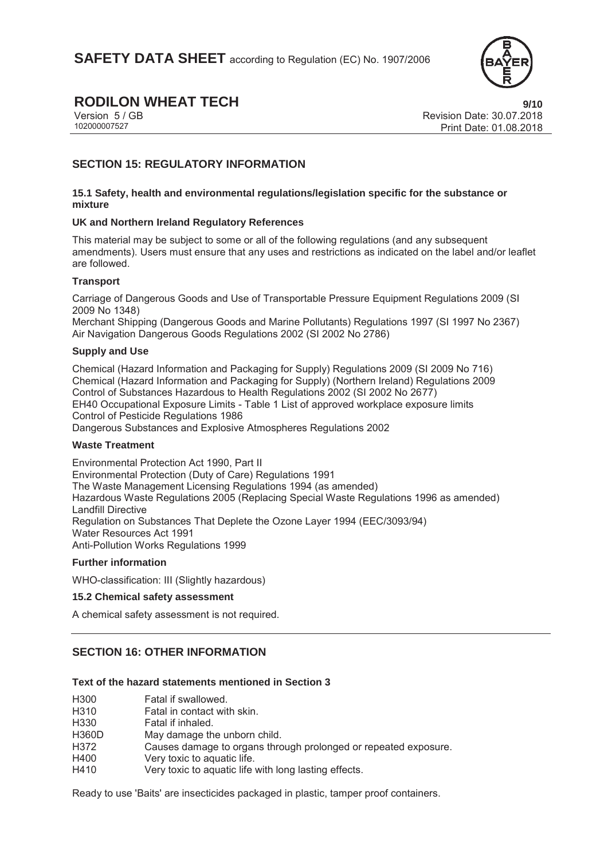

## **RODILON WHEAT TECH 9/10**

Version 5 / GB<br>10200007527<br>Print Date: 01.08.2018 Print Date: 01.08.2018

### **SECTION 15: REGULATORY INFORMATION**

### **15.1 Safety, health and environmental regulations/legislation specific for the substance or mixture**

### **UK and Northern Ireland Regulatory References**

This material may be subject to some or all of the following regulations (and any subsequent amendments). Users must ensure that any uses and restrictions as indicated on the label and/or leaflet are followed.

### **Transport**

Carriage of Dangerous Goods and Use of Transportable Pressure Equipment Regulations 2009 (SI 2009 No 1348)

Merchant Shipping (Dangerous Goods and Marine Pollutants) Regulations 1997 (SI 1997 No 2367) Air Navigation Dangerous Goods Regulations 2002 (SI 2002 No 2786)

### **Supply and Use**

Chemical (Hazard Information and Packaging for Supply) Regulations 2009 (SI 2009 No 716) Chemical (Hazard Information and Packaging for Supply) (Northern Ireland) Regulations 2009 Control of Substances Hazardous to Health Regulations 2002 (SI 2002 No 2677) EH40 Occupational Exposure Limits - Table 1 List of approved workplace exposure limits Control of Pesticide Regulations 1986 Dangerous Substances and Explosive Atmospheres Regulations 2002

### **Waste Treatment**

Environmental Protection Act 1990, Part II Environmental Protection (Duty of Care) Regulations 1991 The Waste Management Licensing Regulations 1994 (as amended) Hazardous Waste Regulations 2005 (Replacing Special Waste Regulations 1996 as amended) Landfill Directive Regulation on Substances That Deplete the Ozone Layer 1994 (EEC/3093/94) Water Resources Act 1991 Anti-Pollution Works Regulations 1999

### **Further information**

WHO-classification: III (Slightly hazardous)

### **15.2 Chemical safety assessment**

A chemical safety assessment is not required.

### **SECTION 16: OTHER INFORMATION**

### **Text of the hazard statements mentioned in Section 3**

| H300  | Fatal if swallowed.                                             |
|-------|-----------------------------------------------------------------|
| H310  | Fatal in contact with skin.                                     |
| H330  | Fatal if inhaled.                                               |
| H360D | May damage the unborn child.                                    |
| H372  | Causes damage to organs through prolonged or repeated exposure. |
| H400  | Very toxic to aquatic life.                                     |
| H410  | Very toxic to aquatic life with long lasting effects.           |
|       |                                                                 |

Ready to use 'Baits' are insecticides packaged in plastic, tamper proof containers.